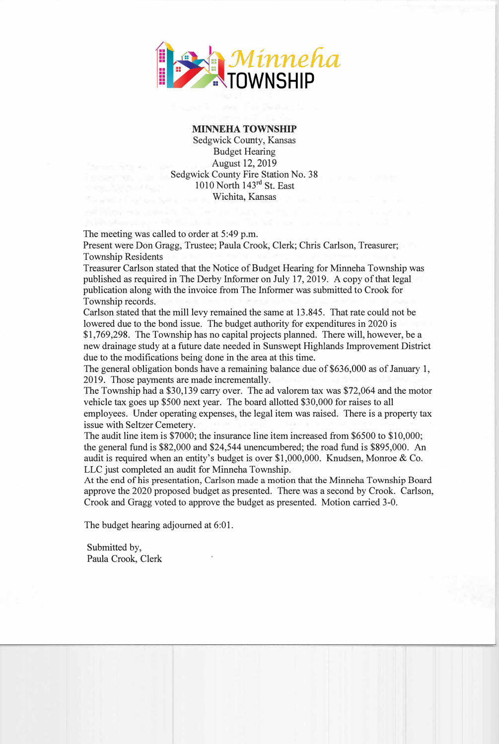

## MINNEHA TOWNSHIP

Sedgwick County, Kansas Budget Hearing August 12, 2019 Sedgwick County Fire Station No. 38 1010 North 143rd St. East Wichita, Kansas

The meeting was called to order at 5:49 p.m.

Present were Don Gragg, Trustee; Paula Crook, Clerk; Chris Carlson, Treasurer; Township Residents

Treasurer Carlson stated that the Notice of Budget Hearing for Minneha Township was published as required in The Derby Informer on July 17, 2019. A copy of that legal publication along with the invoice from The Informer was submitted to Crook for Township records.

Carlson stated that the mill levy remained the same at 13.845. That rate could not be lowered due to the bond issue. The budget authority for expenditures in 2020 is \$1,769,298. The Township has no capital projects planned. There will, however, be a new drainage study at a future date needed in Sunswept Highlands Improvement District due to the modifications being done in the area at this time.

The general obligation bonds have a remaining balance due of \$636,000 as of January 1, 2019. Those payments are made incrementally.

The Township had a \$30,139 carry over. The ad valorem tax was \$72,064 and the motor vehicle tax goes up \$500 next year. The board allotted \$30,000 for raises to all employees. Under operating expenses, the legal item was raised. There is a property tax issue with Seltzer Cemetery.

The audit line item is \$7000; the insurance line item increased from \$6500 to \$10,000; the general fund is \$82,000 and \$24,544 unencumbered; the road fund is \$895,000. An audit is required when an entity's budget is over \$1,000,000. Knudsen, Monroe & Co. LLC just completed an audit for Minneha Township.

At the end of his presentation, Carlson made a motion that the Minneha Township Board approve the 2020 proposed budget as presented. There was a second by Crook. Carlson, Crook and Gragg voted to approve the budget as presented. Motion carried 3-0.

The budget hearing adjourned at 6:01.

Submitted by, Paula Crook, Clerk